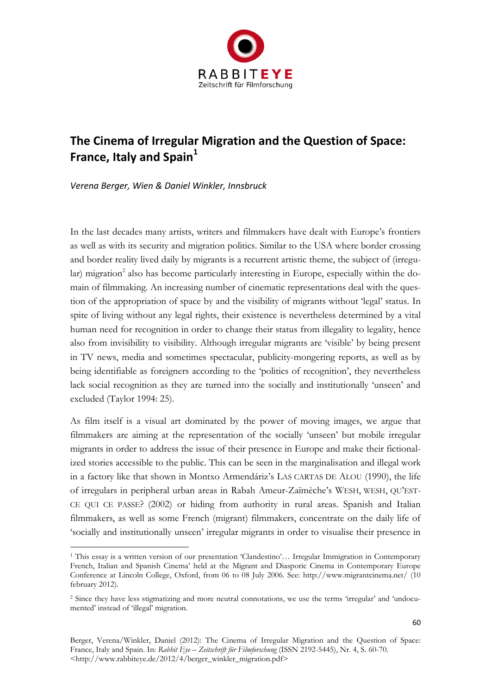

# **The Cinema of Irregular Migration and the Question of Space: France, Italy and Spain<sup>1</sup>**

*Verena Berger, Wien & Daniel Winkler, Innsbruck*

-

In the last decades many artists, writers and filmmakers have dealt with Europe's frontiers as well as with its security and migration politics. Similar to the USA where border crossing and border reality lived daily by migrants is a recurrent artistic theme, the subject of (irregular) migration<sup>2</sup> also has become particularly interesting in Europe, especially within the domain of filmmaking. An increasing number of cinematic representations deal with the question of the appropriation of space by and the visibility of migrants without 'legal' status. In spite of living without any legal rights, their existence is nevertheless determined by a vital human need for recognition in order to change their status from illegality to legality, hence also from invisibility to visibility. Although irregular migrants are 'visible' by being present in TV news, media and sometimes spectacular, publicity-mongering reports, as well as by being identifiable as foreigners according to the 'politics of recognition', they nevertheless lack social recognition as they are turned into the socially and institutionally 'unseen' and excluded (Taylor 1994: 25).

As film itself is a visual art dominated by the power of moving images, we argue that filmmakers are aiming at the representation of the socially 'unseen' but mobile irregular migrants in order to address the issue of their presence in Europe and make their fictionalized stories accessible to the public. This can be seen in the marginalisation and illegal work in a factory like that shown in Montxo Armendáriz's LAS CARTAS DE ALOU (1990), the life of irregulars in peripheral urban areas in Rabah Ameur-Zaïmèche's WESH, WESH, QU'EST-CE QUI CE PASSE? (2002) or hiding from authority in rural areas. Spanish and Italian filmmakers, as well as some French (migrant) filmmakers, concentrate on the daily life of 'socially and institutionally unseen' irregular migrants in order to visualise their presence in

<sup>1</sup> This essay is a written version of our presentation 'Clandestino'… Irregular Immigration in Contemporary French, Italian and Spanish Cinema' held at the Migrant and Diasporic Cinema in Contemporary Europe Conference at Lincoln College, Oxford, from 06 to 08 July 2006. See: http://www.migrantcinema.net/ (10 february 2012).

<sup>2</sup> Since they have less stigmatizing and more neutral connotations, we use the terms 'irregular' and 'undocumented' instead of 'illegal' migration.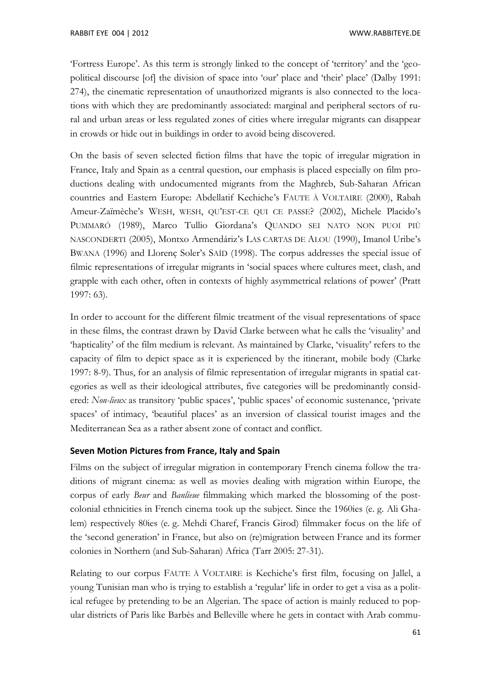'Fortress Europe'. As this term is strongly linked to the concept of 'territory' and the 'geopolitical discourse [of] the division of space into 'our' place and 'their' place' (Dalby 1991: 274), the cinematic representation of unauthorized migrants is also connected to the locations with which they are predominantly associated: marginal and peripheral sectors of rural and urban areas or less regulated zones of cities where irregular migrants can disappear in crowds or hide out in buildings in order to avoid being discovered.

On the basis of seven selected fiction films that have the topic of irregular migration in France, Italy and Spain as a central question, our emphasis is placed especially on film productions dealing with undocumented migrants from the Maghreb, Sub-Saharan African countries and Eastern Europe: Abdellatif Kechiche's FAUTE À VOLTAIRE (2000), Rabah Ameur-Zaïmèche's WESH, WESH, QU'EST-CE QUI CE PASSE? (2002), Michele Placido's PUMMARÓ (1989), Marco Tullio Giordana's QUANDO SEI NATO NON PUOI PIÙ NASCONDERTI (2005), Montxo Armendáriz's LAS CARTAS DE ALOU (1990), Imanol Uribe's BWANA (1996) and Llorenç Soler's SAÍD (1998). The corpus addresses the special issue of filmic representations of irregular migrants in 'social spaces where cultures meet, clash, and grapple with each other, often in contexts of highly asymmetrical relations of power' (Pratt 1997: 63).

In order to account for the different filmic treatment of the visual representations of space in these films, the contrast drawn by David Clarke between what he calls the 'visuality' and 'hapticality' of the film medium is relevant. As maintained by Clarke, 'visuality' refers to the capacity of film to depict space as it is experienced by the itinerant, mobile body (Clarke 1997: 8-9). Thus, for an analysis of filmic representation of irregular migrants in spatial categories as well as their ideological attributes, five categories will be predominantly considered: *Non-lieux* as transitory 'public spaces', 'public spaces' of economic sustenance, 'private spaces' of intimacy, 'beautiful places' as an inversion of classical tourist images and the Mediterranean Sea as a rather absent zone of contact and conflict.

# **Seven Motion Pictures from France, Italy and Spain**

Films on the subject of irregular migration in contemporary French cinema follow the traditions of migrant cinema: as well as movies dealing with migration within Europe, the corpus of early *Beur* and *Banlieue* filmmaking which marked the blossoming of the postcolonial ethnicities in French cinema took up the subject. Since the 1960ies (e. g. Ali Ghalem) respectively 80ies (e. g. Mehdi Charef, Francis Girod) filmmaker focus on the life of the 'second generation' in France, but also on (re)migration between France and its former colonies in Northern (and Sub-Saharan) Africa (Tarr 2005: 27-31).

Relating to our corpus FAUTE À VOLTAIRE is Kechiche's first film, focusing on Jallel, a young Tunisian man who is trying to establish a 'regular' life in order to get a visa as a political refugee by pretending to be an Algerian. The space of action is mainly reduced to popular districts of Paris like Barbès and Belleville where he gets in contact with Arab commu-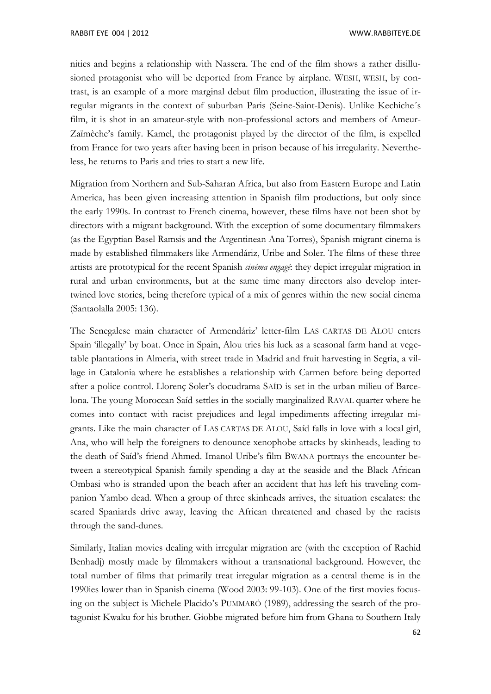nities and begins a relationship with Nassera. The end of the film shows a rather disillusioned protagonist who will be deported from France by airplane. WESH, WESH, by contrast, is an example of a more marginal debut film production, illustrating the issue of irregular migrants in the context of suburban Paris (Seine-Saint-Denis). Unlike Kechiche´s film, it is shot in an amateur-style with non-professional actors and members of Ameur-Zaïmèche's family. Kamel, the protagonist played by the director of the film, is expelled from France for two years after having been in prison because of his irregularity. Nevertheless, he returns to Paris and tries to start a new life.

Migration from Northern and Sub-Saharan Africa, but also from Eastern Europe and Latin America, has been given increasing attention in Spanish film productions, but only since the early 1990s. In contrast to French cinema, however, these films have not been shot by directors with a migrant background. With the exception of some documentary filmmakers (as the [Egyptian](http://www3.dict.cc/englisch-deutsch/Egyptian.html) Basel Ramsis and the Argentinean Ana Torres), Spanish migrant cinema is made by established filmmakers like Armendáriz, Uribe and Soler. The films of these three artists are prototypical for the recent Spanish *cinéma engagé*: they depict irregular migration in rural and urban environments, but at the same time many directors also develop intertwined love stories, being therefore typical of a mix of genres within the new social cinema (Santaolalla 2005: 136).

The Senegalese main character of Armendáriz' letter-film LAS CARTAS DE ALOU enters Spain 'illegally' by boat. Once in Spain, Alou tries his luck as a seasonal farm hand at vegetable plantations in Almeria, with street trade in Madrid and fruit harvesting in Segria, a village in Catalonia where he establishes a relationship with Carmen before being deported after a police control. Llorenç Soler's docudrama SAÍD is set in the urban milieu of Barcelona. The young Moroccan Saíd settles in the socially marginalized RAVAL quarter where he comes into contact with racist prejudices and legal impediments affecting irregular migrants. Like the main character of LAS CARTAS DE ALOU, Saíd falls in love with a local girl, Ana, who will help the foreigners to denounce xenophobe attacks by skinheads, leading to the death of Saíd's friend Ahmed. Imanol Uribe's film BWANA portrays the encounter between a stereotypical Spanish family spending a day at the seaside and the Black African Ombasi who is stranded upon the beach after an accident that has left his traveling companion Yambo dead. When a group of three skinheads arrives, the situation escalates: the scared Spaniards drive away, leaving the African threatened and chased by the racists through the sand-dunes.

Similarly, Italian movies dealing with irregular migration are (with the exception of Rachid Benhadj) mostly made by filmmakers without a transnational background. However, the total number of films that primarily treat irregular migration as a central theme is in the 1990ies lower than in Spanish cinema (Wood 2003: 99-103). One of the first movies focusing on the subject is Michele Placido's PUMMARÓ (1989), addressing the search of the protagonist Kwaku for his brother. Giobbe migrated before him from Ghana to Southern Italy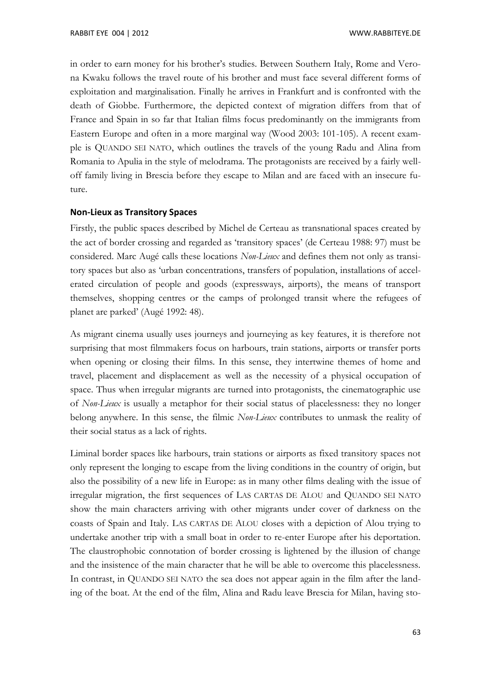in order to earn money for his brother's studies. Between Southern Italy, Rome and Verona Kwaku follows the travel route of his brother and must face several different forms of exploitation and marginalisation. Finally he arrives in Frankfurt and is confronted with the death of Giobbe. Furthermore, the depicted context of migration differs from that of France and Spain in so far that Italian films focus predominantly on the immigrants from Eastern Europe and often in a more marginal way (Wood 2003: 101-105). A recent example is QUANDO SEI NATO, which outlines the travels of the young Radu and Alina from Romania to Apulia in the style of melodrama. The protagonists are received by a fairly welloff family living in Brescia before they escape to Milan and are faced with an insecure future.

#### **Non-Lieux as Transitory Spaces**

Firstly, the public spaces described by Michel de Certeau as transnational spaces created by the act of border crossing and regarded as 'transitory spaces' (de Certeau 1988: 97) must be considered. Marc Augé calls these locations *Non-Lieux* and defines them not only as transitory spaces but also as 'urban concentrations, transfers of population, installations of accelerated circulation of people and goods (expressways, airports), the means of transport themselves, shopping centres or the camps of prolonged transit where the refugees of planet are parked' (Augé 1992: 48).

As migrant cinema usually uses journeys and journeying as key features, it is therefore not surprising that most filmmakers focus on harbours, train stations, airports or transfer ports when opening or closing their films. In this sense, they intertwine themes of home and travel, placement and displacement as well as the necessity of a physical occupation of space. Thus when irregular migrants are turned into protagonists, the cinematographic use of *Non-Lieux* is usually a metaphor for their social status of placelessness: they no longer belong anywhere. In this sense, the filmic *Non-Lieux* contributes to unmask the reality of their social status as a lack of rights.

Liminal border spaces like harbours, train stations or airports as fixed transitory spaces not only represent the longing to escape from the living conditions in the country of origin, but also the possibility of a new life in Europe: as in many other films dealing with the issue of irregular migration, the first sequences of LAS CARTAS DE ALOU and QUANDO SEI NATO show the main characters arriving with other migrants under cover of darkness on the coasts of Spain and Italy. LAS CARTAS DE ALOU closes with a depiction of Alou trying to undertake another trip with a small boat in order to re-enter Europe after his deportation. The claustrophobic connotation of border crossing is lightened by the illusion of change and the insistence of the main character that he will be able to overcome this placelessness. In contrast, in QUANDO SEI NATO the sea does not appear again in the film after the landing of the boat. At the end of the film, Alina and Radu leave Brescia for Milan, having sto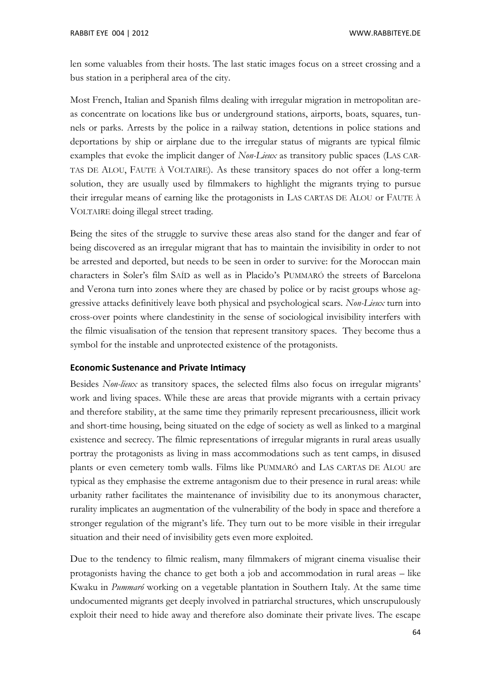len some valuables from their hosts. The last static images focus on a street crossing and a bus station in a peripheral area of the city.

Most French, Italian and Spanish films dealing with irregular migration in metropolitan areas concentrate on locations like bus or underground stations, airports, boats, squares, tunnels or parks. Arrests by the police in a railway station, detentions in police stations and deportations by ship or airplane due to the irregular status of migrants are typical filmic examples that evoke the implicit danger of *Non-Lieux* as transitory public spaces (LAS CAR-TAS DE ALOU, FAUTE À VOLTAIRE). As these transitory spaces do not offer a long-term solution, they are usually used by filmmakers to highlight the migrants trying to pursue their irregular means of earning like the protagonists in LAS CARTAS DE ALOU or FAUTE À VOLTAIRE doing illegal street trading.

Being the sites of the struggle to survive these areas also stand for the danger and fear of being discovered as an irregular migrant that has to maintain the invisibility in order to not be arrested and deported, but needs to be seen in order to survive: for the Moroccan main characters in Soler's film SAÍD as well as in Placido's PUMMARÓ the streets of Barcelona and Verona turn into zones where they are chased by police or by racist groups whose aggressive attacks definitively leave both physical and psychological scars. *Non-Lieux* turn into cross-over points where clandestinity in the sense of sociological invisibility interfers with the filmic visualisation of the tension that represent transitory spaces. They become thus a symbol for the instable and unprotected existence of the protagonists.

#### **Economic Sustenance and Private Intimacy**

Besides *Non-lieux* as transitory spaces, the selected films also focus on irregular migrants' work and living spaces. While these are areas that provide migrants with a certain privacy and therefore stability, at the same time they primarily represent precariousness, illicit work and short-time housing, being situated on the edge of society as well as linked to a marginal existence and secrecy. The filmic representations of irregular migrants in rural areas usually portray the protagonists as living in mass accommodations such as tent camps, in disused plants or even cemetery tomb walls. Films like PUMMARÓ and LAS CARTAS DE ALOU are typical as they emphasise the extreme antagonism due to their presence in rural areas: while urbanity rather facilitates the maintenance of invisibility due to its anonymous character, rurality implicates an augmentation of the vulnerability of the body in space and therefore a stronger regulation of the migrant's life. They turn out to be more visible in their irregular situation and their need of invisibility gets even more exploited.

Due to the tendency to filmic realism, many filmmakers of migrant cinema visualise their protagonists having the chance to get both a job and accommodation in rural areas – like Kwaku in *Pummaró* working on a vegetable plantation in Southern Italy. At the same time undocumented migrants get deeply involved in patriarchal structures, which unscrupulously exploit their need to hide away and therefore also dominate their private lives. The escape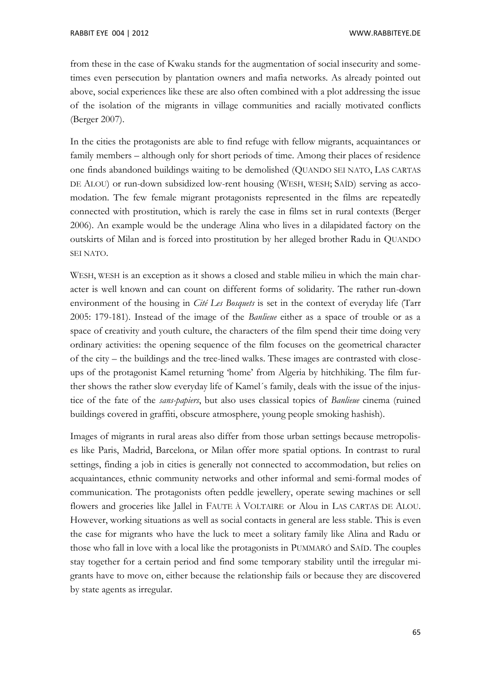from these in the case of Kwaku stands for the augmentation of social insecurity and sometimes even persecution by plantation owners and mafia networks. As already pointed out above, social experiences like these are also often combined with a plot addressing the issue of the isolation of the migrants in village communities and racially motivated conflicts (Berger 2007).

In the cities the protagonists are able to find refuge with fellow migrants, acquaintances or family members – although only for short periods of time. Among their places of residence one finds abandoned buildings waiting to be demolished (QUANDO SEI NATO, LAS CARTAS DE ALOU) or run-down subsidized low-rent housing (WESH, WESH; SAÍD) serving as accomodation. The few female migrant protagonists represented in the films are repeatedly connected with prostitution, which is rarely the case in films set in rural contexts (Berger 2006). An example would be the underage Alina who lives in a dilapidated factory on the outskirts of Milan and is forced into prostitution by her alleged brother Radu in QUANDO SEI NATO.

WESH, WESH is an exception as it shows a closed and stable milieu in which the main character is well known and can count on different forms of solidarity. The rather run-down environment of the housing in *Cité Les Bosquets* is set in the context of everyday life (Tarr 2005: 179-181). Instead of the image of the *Banlieue* either as a space of trouble or as a space of creativity and youth culture, the characters of the film spend their time doing very ordinary activities: the opening sequence of the film focuses on the geometrical character of the city – the buildings and the tree-lined walks. These images are contrasted with closeups of the protagonist Kamel returning 'home' from Algeria by hitchhiking. The film further shows the rather slow everyday life of Kamel´s family, deals with the issue of the injustice of the fate of the *sans-papiers*, but also uses classical topics of *Banlieue* cinema (ruined buildings covered in graffiti, obscure atmosphere, young people smoking hashish).

Images of migrants in rural areas also differ from those urban settings because metropolises like Paris, Madrid, Barcelona, or Milan offer more spatial options. In contrast to rural settings, finding a job in cities is generally not connected to accommodation, but relies on acquaintances, ethnic community networks and other informal and semi-formal modes of communication. The protagonists often peddle jewellery, operate sewing machines or sell flowers and groceries like Jallel in FAUTE À VOLTAIRE or Alou in LAS CARTAS DE ALOU. However, working situations as well as social contacts in general are less stable. This is even the case for migrants who have the luck to meet a solitary family like Alina and Radu or those who fall in love with a local like the protagonists in PUMMARÓ and SAÍD. The couples stay together for a certain period and find some temporary stability until the irregular migrants have to move on, either because the relationship fails or because they are discovered by state agents as irregular.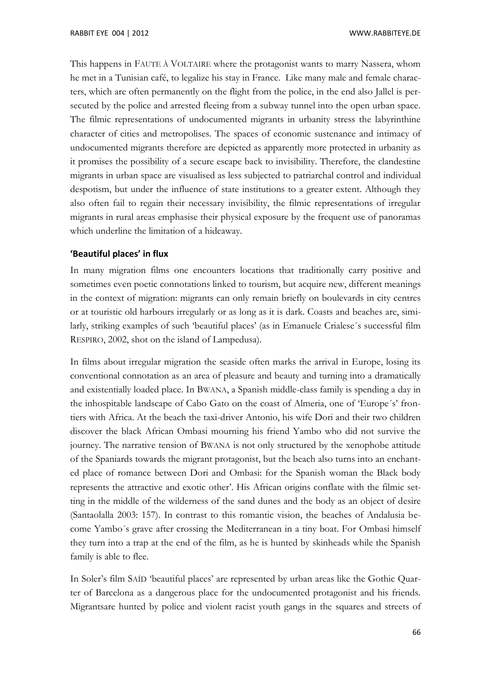This happens in FAUTE À VOLTAIRE where the protagonist wants to marry Nassera, whom he met in a Tunisian café, to legalize his stay in France. Like many male and female characters, which are often permanently on the flight from the police, in the end also Jallel is persecuted by the police and arrested fleeing from a subway tunnel into the open urban space. The filmic representations of undocumented migrants in urbanity stress the labyrinthine character of cities and metropolises. The spaces of economic sustenance and intimacy of undocumented migrants therefore are depicted as apparently more protected in urbanity as it promises the possibility of a secure escape back to invisibility. Therefore, the clandestine migrants in urban space are visualised as less subjected to patriarchal control and individual despotism, but under the influence of state institutions to a greater extent. Although they also often fail to regain their necessary invisibility, the filmic representations of irregular migrants in rural areas emphasise their physical exposure by the frequent use of panoramas which underline the limitation of a hideaway.

### **'Beautiful places' in flux**

In many migration films one encounters locations that traditionally carry positive and sometimes even poetic connotations linked to tourism, but acquire new, different meanings in the context of migration: migrants can only remain briefly on boulevards in city centres or at touristic old harbours irregularly or as long as it is dark. Coasts and beaches are, similarly, striking examples of such 'beautiful places' (as in Emanuele Crialese´s successful film RESPIRO, 2002, shot on the island of Lampedusa).

In films about irregular migration the seaside often marks the arrival in Europe, losing its conventional connotation as an area of pleasure and beauty and turning into a dramatically and existentially loaded place. In BWANA, a Spanish middle-class family is spending a day in the inhospitable landscape of Cabo Gato on the coast of Almeria, one of 'Europe´s' frontiers with Africa. At the beach the taxi-driver Antonio, his wife Dori and their two children discover the black African Ombasi mourning his friend Yambo who did not survive the journey. The narrative tension of BWANA is not only structured by the xenophobe attitude of the Spaniards towards the migrant protagonist, but the beach also turns into an enchanted place of romance between Dori and Ombasi: for the Spanish woman the Black body represents the attractive and exotic other'. His African origins conflate with the filmic setting in the middle of the wilderness of the sand dunes and the body as an object of desire (Santaolalla 2003: 157). In contrast to this romantic vision, the beaches of Andalusia become Yambo´s grave after crossing the Mediterranean in a tiny boat. For Ombasi himself they turn into a trap at the end of the film, as he is hunted by skinheads while the Spanish family is able to flee.

In Soler's film SAÍD 'beautiful places' are represented by urban areas like the Gothic Quarter of Barcelona as a dangerous place for the undocumented protagonist and his friends. Migrantsare hunted by police and violent racist youth gangs in the squares and streets of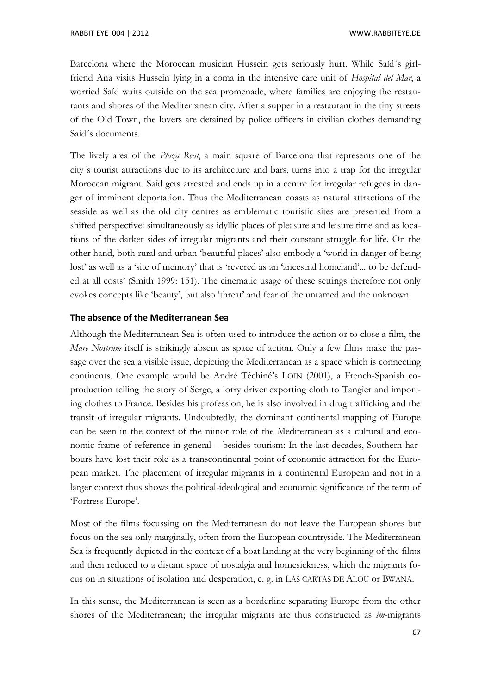Barcelona where the Moroccan musician Hussein gets seriously hurt. While Saíd´s girlfriend Ana visits Hussein lying in a coma in the intensive care unit of *Hospital del Mar*, a worried Saíd waits outside on the sea promenade, where families are enjoying the restaurants and shores of the Mediterranean city. After a supper in a restaurant in the tiny streets of the Old Town, the lovers are detained by police officers in civilian clothes demanding Saíd´s documents.

The lively area of the *Plaza Real*, a main square of Barcelona that represents one of the city´s tourist attractions due to its architecture and bars, turns into a trap for the irregular Moroccan migrant. Saíd gets arrested and ends up in a centre for irregular refugees in danger of imminent deportation. Thus the Mediterranean coasts as natural attractions of the seaside as well as the old city centres as emblematic touristic sites are presented from a shifted perspective: simultaneously as idyllic places of pleasure and leisure time and as locations of the darker sides of irregular migrants and their constant struggle for life. On the other hand, both rural and urban 'beautiful places' also embody a 'world in danger of being lost' as well as a 'site of memory' that is 'revered as an 'ancestral homeland'... to be defended at all costs' (Smith 1999: 151). The cinematic usage of these settings therefore not only evokes concepts like 'beauty', but also 'threat' and fear of the untamed and the unknown.

### **The absence of the Mediterranean Sea**

Although the Mediterranean Sea is often used to introduce the action or to close a film, the *Mare Nostrum* itself is strikingly absent as space of action. Only a few films make the passage over the sea a visible issue, depicting the Mediterranean as a space which is connecting continents. One example would be André Téchiné's LOIN (2001), a French-Spanish coproduction telling the story of Serge, a lorry driver exporting cloth to Tangier and importing clothes to France. Besides his profession, he is also involved in drug trafficking and the transit of irregular migrants. Undoubtedly, the dominant continental mapping of Europe can be seen in the context of the minor role of the Mediterranean as a cultural and economic frame of reference in general – besides tourism: In the last decades, Southern harbours have lost their role as a transcontinental point of economic attraction for the European market. The placement of irregular migrants in a continental European and not in a larger context thus shows the political-ideological and economic significance of the term of 'Fortress Europe'.

Most of the films focussing on the Mediterranean do not leave the European shores but focus on the sea only marginally, often from the European countryside. The Mediterranean Sea is frequently depicted in the context of a boat landing at the very beginning of the films and then reduced to a distant space of nostalgia and homesickness, which the migrants focus on in situations of isolation and desperation, e. g. in LAS CARTAS DE ALOU or BWANA.

In this sense, the Mediterranean is seen as a borderline separating Europe from the other shores of the Mediterranean; the irregular migrants are thus constructed as *im*-migrants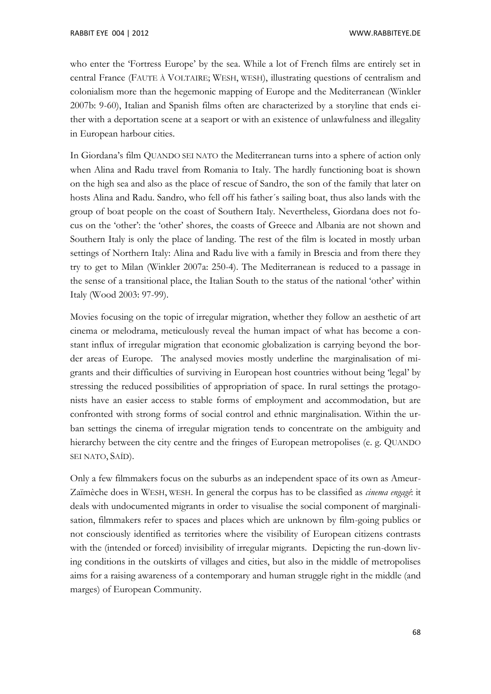who enter the 'Fortress Europe' by the sea. While a lot of French films are entirely set in central France (FAUTE À VOLTAIRE; WESH, WESH), illustrating questions of centralism and colonialism more than the hegemonic mapping of Europe and the Mediterranean (Winkler 2007b: 9-60), Italian and Spanish films often are characterized by a storyline that ends either with a deportation scene at a seaport or with an existence of unlawfulness and illegality in European harbour cities.

In Giordana's film QUANDO SEI NATO the Mediterranean turns into a sphere of action only when Alina and Radu travel from Romania to Italy. The hardly functioning boat is shown on the high sea and also as the place of rescue of Sandro, the son of the family that later on hosts Alina and Radu. Sandro, who fell off his father´s sailing boat, thus also lands with the group of boat people on the coast of Southern Italy. Nevertheless, Giordana does not focus on the 'other': the 'other' shores, the coasts of Greece and Albania are not shown and Southern Italy is only the place of landing. The rest of the film is located in mostly urban settings of Northern Italy: Alina and Radu live with a family in Brescia and from there they try to get to Milan (Winkler 2007a: 250-4). The Mediterranean is reduced to a passage in the sense of a transitional place, the Italian South to the status of the national 'other' within Italy (Wood 2003: 97-99).

Movies focusing on the topic of irregular migration, whether they follow an aesthetic of art cinema or melodrama, meticulously reveal the human impact of what has become a constant influx of irregular migration that economic globalization is carrying beyond the border areas of Europe. The analysed movies mostly underline the marginalisation of migrants and their difficulties of surviving in European host countries without being 'legal' by stressing the reduced possibilities of appropriation of space. In rural settings the protagonists have an easier access to stable forms of employment and accommodation, but are confronted with strong forms of social control and ethnic marginalisation. Within the urban settings the cinema of irregular migration tends to concentrate on the ambiguity and hierarchy between the city centre and the fringes of European metropolises (e. g. QUANDO SEI NATO, SAÍD).

Only a few filmmakers focus on the suburbs as an independent space of its own as Ameur-Zaïmèche does in WESH, WESH. In general the corpus has to be classified as *cinema engagé*: it deals with undocumented migrants in order to visualise the social component of marginalisation, filmmakers refer to spaces and places which are unknown by film-going publics or not consciously identified as territories where the visibility of European citizens contrasts with the (intended or forced) invisibility of irregular migrants. Depicting the run-down living conditions in the outskirts of villages and cities, but also in the middle of metropolises aims for a raising awareness of a contemporary and human struggle right in the middle (and marges) of European Community.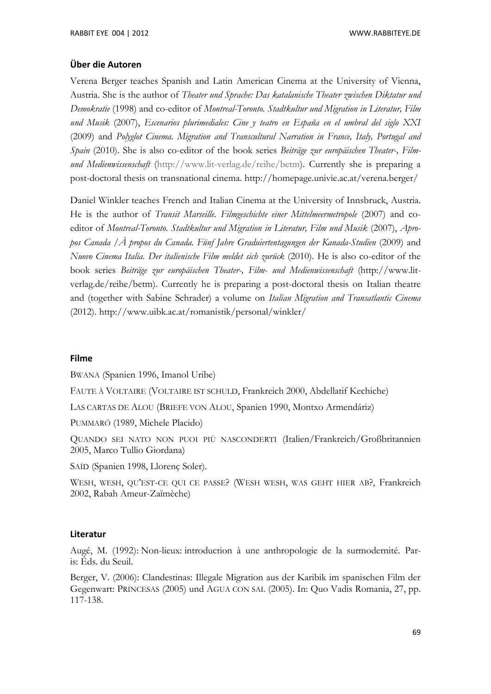# **Über die Autoren**

Verena Berger teaches Spanish and Latin American Cinema at the University of Vienna, Austria. She is the author of *Theater und Sprache: Das katalanische Theater zwischen Diktatur und Demokratie* (1998) and co-editor of *Montreal-Toronto. Stadtkultur und Migration in Literatur, Film und Musik* (2007), *Escenarios plurimediales: Cine y teatro en España en el umbral del siglo XXI* (2009) and *Polyglot Cinema. Migration and Transcultural Narration in France, Italy, Portugal and Spain* (2010). She is also co-editor of the book series *Beiträge zur europäischen Theater-, Filmund Medienwissenschaft* [\(http://www.lit-verlag.de/reihe/betm\)](http://www.lit-verlag.de/reihe/betm). Currently she is preparing a post-doctoral thesis on transnational cinema. http://homepage.univie.ac.at/verena.berger/

Daniel Winkler teaches French and Italian Cinema at the University of Innsbruck, Austria. He is the author of *Transit Marseille. Filmgeschichte einer Mittelmeermetropole* (2007) and coeditor of *Montreal-Toronto. Stadtkultur und Migration in Literatur, Film und Musik* (2007), *Apropos Canada /À propos du Canada. Fünf Jahre Graduiertentagungen der Kanada-Studien* (2009) and *Nuovo Cinema Italia. Der italienische Film meldet sich zurück* (2010). He is also co-editor of the book series *Beiträge zur europäischen Theater-, Film- und Medienwissenschaft* (http://www.litverlag.de/reihe/betm). Currently he is preparing a post-doctoral thesis on Italian theatre and (together with Sabine Schrader) a volume on *Italian Migration and Transatlantic Cinema* (2012). http://www.uibk.ac.at/romanistik/personal/winkler/

# **Filme**

BWANA (Spanien 1996, Imanol Uribe)

FAUTE À VOLTAIRE (VOLTAIRE IST SCHULD, Frankreich 2000, Abdellatif Kechiche)

LAS CARTAS DE ALOU (BRIEFE VON ALOU, Spanien 1990, Montxo Armendáriz)

PUMMARÓ (1989, Michele Placido)

QUANDO SEI NATO NON PUOI PIÙ NASCONDERTI (Italien/Frankreich/Großbritannien 2005, Marco Tullio Giordana)

SAÍD (Spanien 1998, Llorenç Soler).

WESH, WESH, QU'EST-CE QUI CE PASSE? (WESH WESH, WAS GEHT HIER AB?, Frankreich 2002, Rabah Ameur-Zaïmèche)

# **Literatur**

Augé, M. (1992): Non-lieux: introduction à une anthropologie de la surmodernité. Paris: Éds. du Seuil.

Berger, V. (2006): Clandestinas: Illegale Migration aus der Karibik im spanischen Film der Gegenwart: PRINCESAS (2005) und AGUA CON SAL (2005). In: Quo Vadis Romania, 27, pp. 117-138.